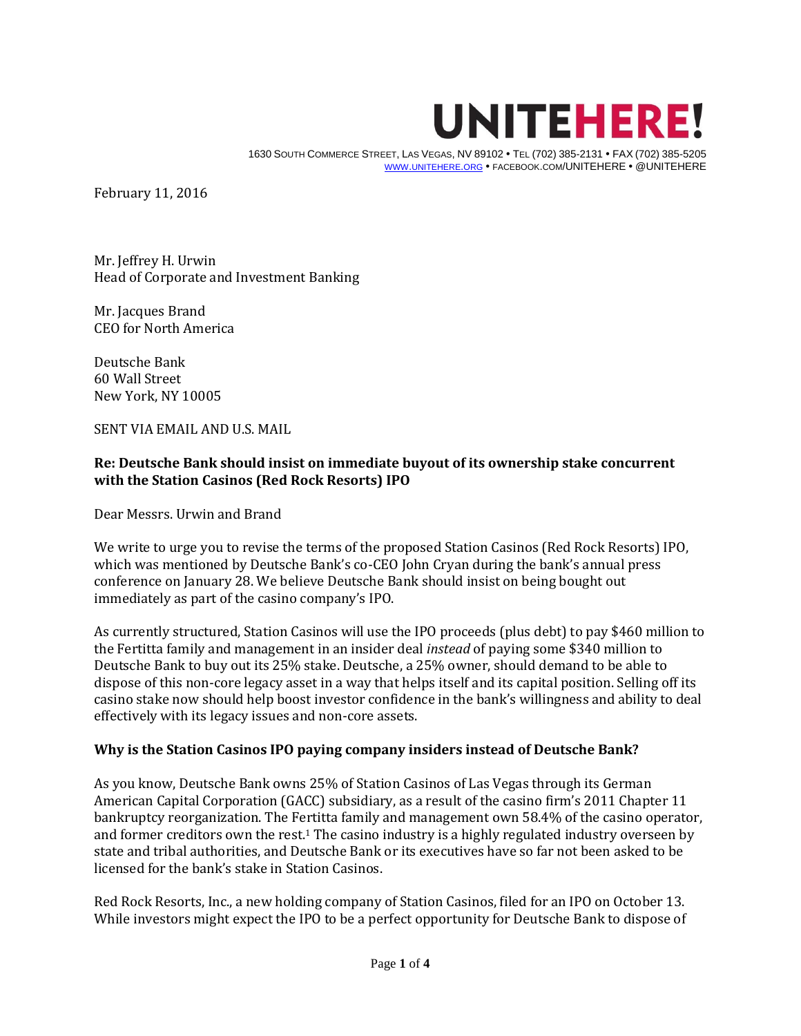

 1630 SOUTH COMMERCE STREET, LAS VEGAS, NV 89102 TEL (702) 385-2131 FAX (702) 385-5205 WWW.[UNITEHERE](http://www.unitehere.org/).ORG · FACEBOOK.COM/UNITEHERE · @UNITEHERE

February 11, 2016

Mr. Jeffrey H. Urwin Head of Corporate and Investment Banking

Mr. Jacques Brand CEO for North America

Deutsche Bank 60 Wall Street New York, NY 10005

SENT VIA EMAIL AND U.S. MAIL

## **Re: Deutsche Bank should insist on immediate buyout of its ownership stake concurrent with the Station Casinos (Red Rock Resorts) IPO**

Dear Messrs. Urwin and Brand

We write to urge you to revise the terms of the proposed Station Casinos (Red Rock Resorts) IPO, which was mentioned by Deutsche Bank's co-CEO John Cryan during the bank's annual press conference on January 28. We believe Deutsche Bank should insist on being bought out immediately as part of the casino company's IPO.

As currently structured, Station Casinos will use the IPO proceeds (plus debt) to pay \$460 million to the Fertitta family and management in an insider deal *instead* of paying some \$340 million to Deutsche Bank to buy out its 25% stake. Deutsche, a 25% owner, should demand to be able to dispose of this non-core legacy asset in a way that helps itself and its capital position. Selling off its casino stake now should help boost investor confidence in the bank's willingness and ability to deal effectively with its legacy issues and non-core assets.

## **Why is the Station Casinos IPO paying company insiders instead of Deutsche Bank?**

As you know, Deutsche Bank owns 25% of Station Casinos of Las Vegas through its German American Capital Corporation (GACC) subsidiary, as a result of the casino firm's 2011 Chapter 11 bankruptcy reorganization. The Fertitta family and management own 58.4% of the casino operator, and former creditors own the rest.<sup>1</sup> The casino industry is a highly regulated industry overseen by state and tribal authorities, and Deutsche Bank or its executives have so far not been asked to be licensed for the bank's stake in Station Casinos.

Red Rock Resorts, Inc., a new holding company of Station Casinos, filed for an IPO on October 13. While investors might expect the IPO to be a perfect opportunity for Deutsche Bank to dispose of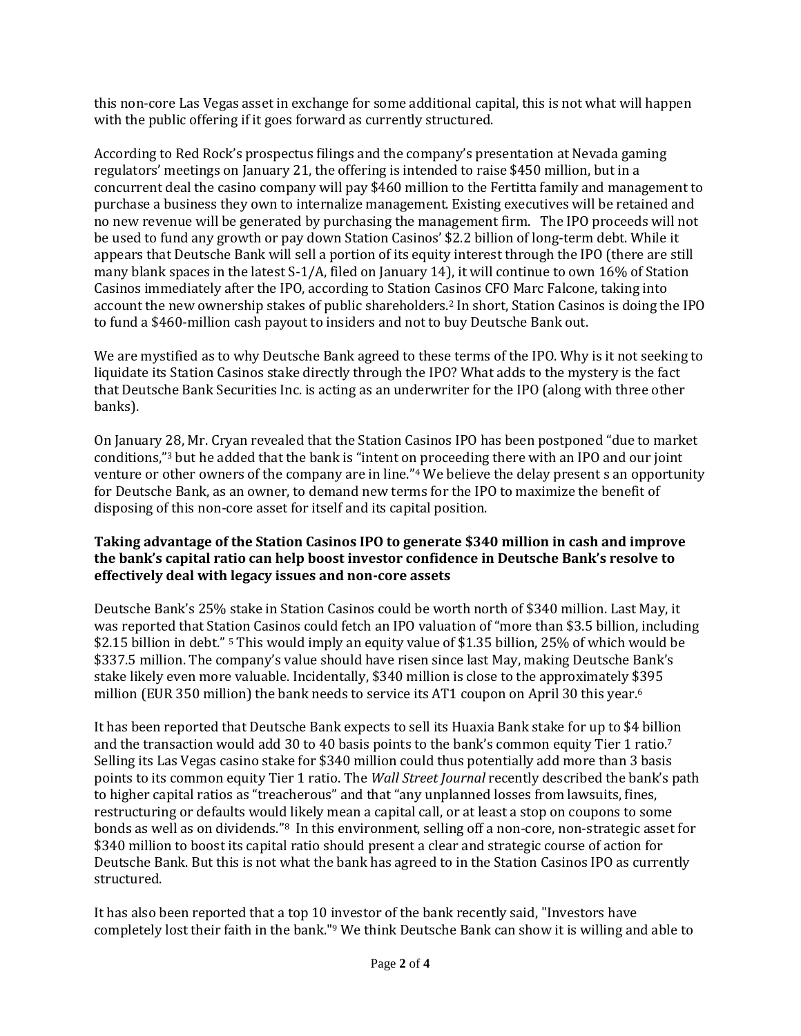this non-core Las Vegas asset in exchange for some additional capital, this is not what will happen with the public offering if it goes forward as currently structured.

According to Red Rock's prospectus filings and the company's presentation at Nevada gaming regulators' meetings on January 21, the offering is intended to raise \$450 million, but in a concurrent deal the casino company will pay \$460 million to the Fertitta family and management to purchase a business they own to internalize management. Existing executives will be retained and no new revenue will be generated by purchasing the management firm. The IPO proceeds will not be used to fund any growth or pay down Station Casinos' \$2.2 billion of long-term debt. While it appears that Deutsche Bank will sell a portion of its equity interest through the IPO (there are still many blank spaces in the latest S-1/A, filed on January 14), it will continue to own 16% of Station Casinos immediately after the IPO, according to Station Casinos CFO Marc Falcone, taking into account the new ownership stakes of public shareholders.<sup>2</sup> In short, Station Casinos is doing the IPO to fund a \$460-million cash payout to insiders and not to buy Deutsche Bank out.

We are mystified as to why Deutsche Bank agreed to these terms of the IPO. Why is it not seeking to liquidate its Station Casinos stake directly through the IPO? What adds to the mystery is the fact that Deutsche Bank Securities Inc. is acting as an underwriter for the IPO (along with three other banks).

On January 28, Mr. Cryan revealed that the Station Casinos IPO has been postponed "due to market conditions,"<sup>3</sup> but he added that the bank is "intent on proceeding there with an IPO and our joint venture or other owners of the company are in line."<sup>4</sup> We believe the delay present s an opportunity for Deutsche Bank, as an owner, to demand new terms for the IPO to maximize the benefit of disposing of this non-core asset for itself and its capital position.

## **Taking advantage of the Station Casinos IPO to generate \$340 million in cash and improve the bank's capital ratio can help boost investor confidence in Deutsche Bank's resolve to effectively deal with legacy issues and non-core assets**

Deutsche Bank's 25% stake in Station Casinos could be worth north of \$340 million. Last May, it was reported that Station Casinos could fetch an IPO valuation of "more than \$3.5 billion, including \$2.15 billion in debt." <sup>5</sup> This would imply an equity value of \$1.35 billion, 25% of which would be \$337.5 million. The company's value should have risen since last May, making Deutsche Bank's stake likely even more valuable. Incidentally, \$340 million is close to the approximately \$395 million (EUR 350 million) the bank needs to service its AT1 coupon on April 30 this year.<sup>6</sup>

It has been reported that Deutsche Bank expects to sell its Huaxia Bank stake for up to \$4 billion and the transaction would add 30 to 40 basis points to the bank's common equity Tier 1 ratio.<sup>7</sup> Selling its Las Vegas casino stake for \$340 million could thus potentially add more than 3 basis points to its common equity Tier 1 ratio. The *Wall Street Journal* recently described the bank's path to higher capital ratios as "treacherous" and that "any unplanned losses from lawsuits, fines, restructuring or defaults would likely mean a capital call, or at least a stop on coupons to some bonds as well as on dividends."8 In this environment, selling off a non-core, non-strategic asset for \$340 million to boost its capital ratio should present a clear and strategic course of action for Deutsche Bank. But this is not what the bank has agreed to in the Station Casinos IPO as currently structured.

It has also been reported that a top 10 investor of the bank recently said, "Investors have completely lost their faith in the bank."<sup>9</sup> We think Deutsche Bank can show it is willing and able to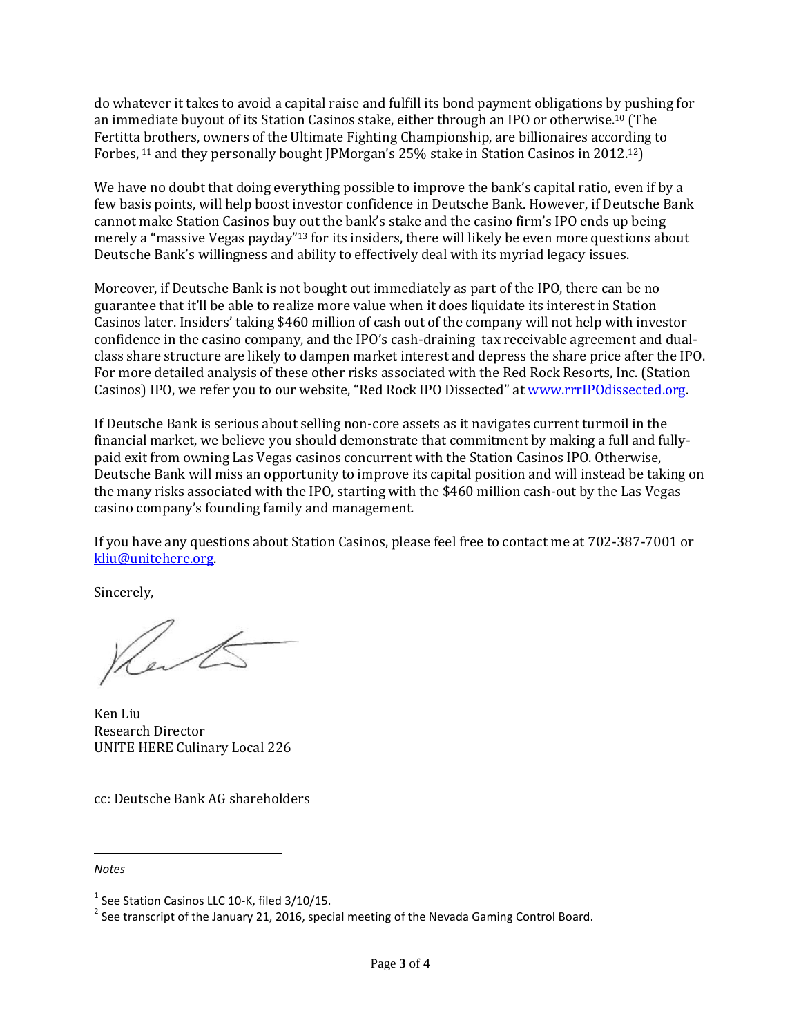do whatever it takes to avoid a capital raise and fulfill its bond payment obligations by pushing for an immediate buyout of its Station Casinos stake, either through an IPO or otherwise.<sup>10</sup> (The Fertitta brothers, owners of the Ultimate Fighting Championship, are billionaires according to Forbes, <sup>11</sup> and they personally bought JPMorgan's 25% stake in Station Casinos in 2012.<sup>12</sup>)

We have no doubt that doing everything possible to improve the bank's capital ratio, even if by a few basis points, will help boost investor confidence in Deutsche Bank. However, if Deutsche Bank cannot make Station Casinos buy out the bank's stake and the casino firm's IPO ends up being merely a "massive Vegas payday"<sup>13</sup> for its insiders, there will likely be even more questions about Deutsche Bank's willingness and ability to effectively deal with its myriad legacy issues.

Moreover, if Deutsche Bank is not bought out immediately as part of the IPO, there can be no guarantee that it'll be able to realize more value when it does liquidate its interest in Station Casinos later. Insiders' taking \$460 million of cash out of the company will not help with investor confidence in the casino company, and the IPO's cash-draining tax receivable agreement and dualclass share structure are likely to dampen market interest and depress the share price after the IPO. For more detailed analysis of these other risks associated with the Red Rock Resorts, Inc. (Station Casinos) IPO, we refer you to our website, "Red Rock IPO Dissected" at [www.rrrIPOdissected.org.](http://www.rrripodissected.org/)

If Deutsche Bank is serious about selling non-core assets as it navigates current turmoil in the financial market, we believe you should demonstrate that commitment by making a full and fullypaid exit from owning Las Vegas casinos concurrent with the Station Casinos IPO. Otherwise, Deutsche Bank will miss an opportunity to improve its capital position and will instead be taking on the many risks associated with the IPO, starting with the \$460 million cash-out by the Las Vegas casino company's founding family and management.

If you have any questions about Station Casinos, please feel free to contact me at 702-387-7001 or [kliu@unitehere.org.](mailto:kliu@unitehere.org)

Sincerely,

Le l

Ken Liu Research Director UNITE HERE Culinary Local 226

cc: Deutsche Bank AG shareholders

## *Notes*

 $\overline{a}$ 

 $^1$  See Station Casinos LLC 10-K, filed 3/10/15.

 $^{2}$  See transcript of the January 21, 2016, special meeting of the Nevada Gaming Control Board.